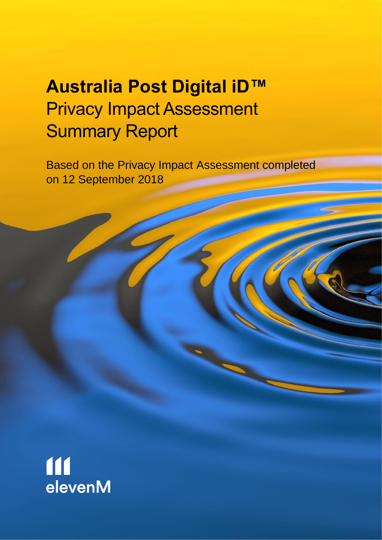## Privacy Impact Assessment **Australia Post Digital iD™** Summary Report

Based on the Privacy Impact Assessment completed on 12 September 2018

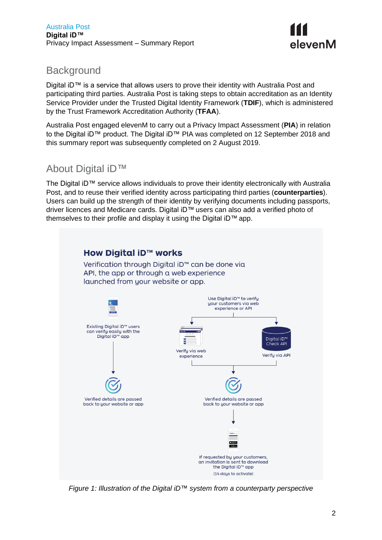

#### **Background**

 Digital iD™ is a service that allows users to prove their identity with Australia Post and participating third parties. Australia Post is taking steps to obtain accreditation as an Identity Service Provider under the Trusted Digital Identity Framework (**TDIF**), which is administered by the Trust Framework Accreditation Authority (**TFAA**).

 Australia Post engaged elevenM to carry out a Privacy Impact Assessment (**PIA**) in relation to the Digital iD™ product. The Digital iD™ PIA was completed on 12 September 2018 and this summary report was subsequently completed on 2 August 2019.

#### About Digital iD™

 The Digital iD™ service allows individuals to prove their identity electronically with Australia Post, and to reuse their verified identity across participating third parties (**counterparties**). Users can build up the strength of their identity by verifying documents including passports, driver licences and Medicare cards. Digital iD™ users can also add a verified photo of themselves to their profile and display it using the Digital iD™ app.



<span id="page-1-0"></span> *Figure 1: Illustration of the Digital iD™ system from a counterparty perspective*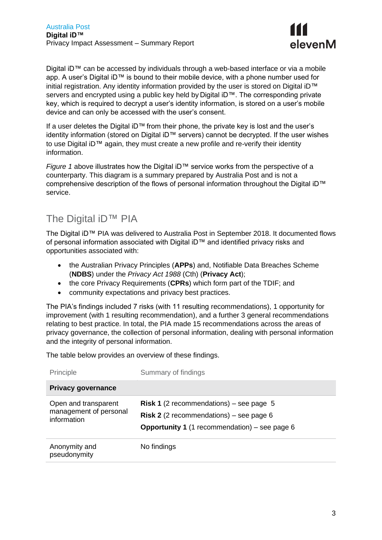

 Digital iD™ can be accessed by individuals through a web-based interface or via a mobile app. A user's Digital iD™ is bound to their mobile device, with a phone number used for initial registration. Any identity information provided by the user is stored on Digital iD™ servers and encrypted using a public key held by Digital iD™. The corresponding private key, which is required to decrypt a user's identity information, is stored on a user's mobile device and can only be accessed with the user's consent.

 If a user deletes the Digital iD™ from their phone, the private key is lost and the user's identity information (stored on Digital iD™ servers) cannot be decrypted. If the user wishes to use Digital iD™ again, they must create a new profile and re-verify their identity information.

 *[Figure 1](#page-1-0)* [above](#page-1-0) illustrates how the Digital iD™ service works from the perspective of a counterparty. This diagram is a summary prepared by Australia Post and is not a comprehensive description of the flows of personal information throughout the Digital iD™ service.

#### The Digital iD™ PIA

 of personal information associated with Digital iD™ and identified privacy risks and opportunities associated with: The Digital iD™ PIA was delivered to Australia Post in September 2018. It documented flows

- • the Australian Privacy Principles (**APPs**) and, Notifiable Data Breaches Scheme (**NDBS**) under the *Privacy Act 1988* (Cth) (**Privacy Act**);
- the core Privacy Requirements (**CPRs**) which form part of the TDIF; and
- community expectations and privacy best practices.

 The PIA's findings included 7 risks (with 11 resulting recommendations), 1 opportunity for improvement (with 1 resulting recommendation), and a further 3 general recommendations relating to best practice. In total, the PIA made 15 recommendations across the areas of privacy governance, the collection of personal information, dealing with personal information and the integrity of personal information.

The table below provides an overview of these findings.

| Principle                                                     | Summary of findings                                                                                                                                        |
|---------------------------------------------------------------|------------------------------------------------------------------------------------------------------------------------------------------------------------|
| <b>Privacy governance</b>                                     |                                                                                                                                                            |
| Open and transparent<br>management of personal<br>information | <b>Risk 1</b> (2 recommendations) – see page 5<br><b>Risk 2</b> (2 recommendations) – see page 6<br><b>Opportunity 1</b> (1 recommendation) – see page $6$ |
| Anonymity and<br>pseudonymity                                 | No findings                                                                                                                                                |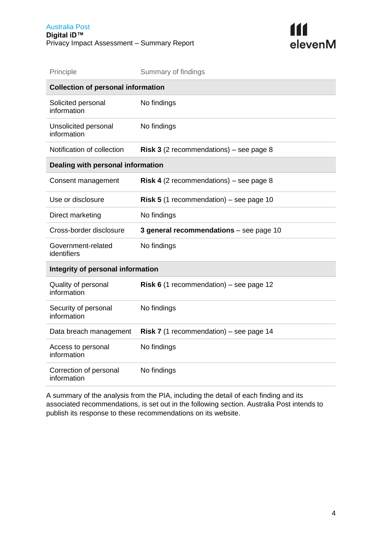

| Principle                                 | Summary of findings                            |  |  |  |
|-------------------------------------------|------------------------------------------------|--|--|--|
| <b>Collection of personal information</b> |                                                |  |  |  |
| Solicited personal<br>information         | No findings                                    |  |  |  |
| Unsolicited personal<br>information       | No findings                                    |  |  |  |
| Notification of collection                | <b>Risk 3</b> (2 recommendations) – see page 8 |  |  |  |
| Dealing with personal information         |                                                |  |  |  |
| Consent management                        | <b>Risk 4</b> (2 recommendations) – see page 8 |  |  |  |
| Use or disclosure                         | <b>Risk 5</b> (1 recommendation) – see page 10 |  |  |  |
| Direct marketing                          | No findings                                    |  |  |  |
| Cross-border disclosure                   | 3 general recommendations - see page 10        |  |  |  |
| Government-related<br>identifiers         | No findings                                    |  |  |  |
| Integrity of personal information         |                                                |  |  |  |
| Quality of personal<br>information        | <b>Risk 6</b> (1 recommendation) – see page 12 |  |  |  |
| Security of personal<br>information       | No findings                                    |  |  |  |
| Data breach management                    | <b>Risk 7</b> (1 recommendation) – see page 14 |  |  |  |
| Access to personal<br>information         | No findings                                    |  |  |  |
| Correction of personal<br>information     | No findings                                    |  |  |  |

 A summary of the analysis from the PIA, including the detail of each finding and its associated recommendations, is set out in the following section. Australia Post intends to publish its response to these recommendations on its website.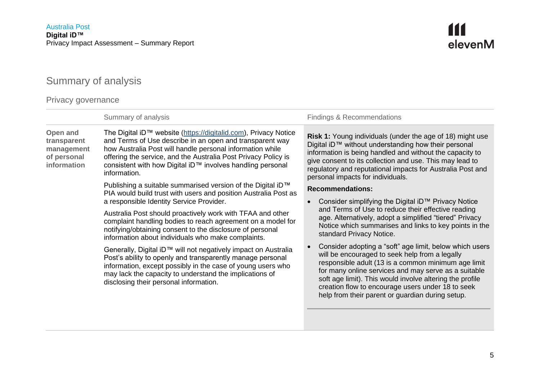# <span id="page-4-0"></span>111<br>elevenM

### Summary of analysis

#### Privacy governance

|                                                                     | Summary of analysis                                                                                                                                                                                                                                                                                                                      | <b>Findings &amp; Recommendations</b>                                                                                                                                                                                                                                                                                                                                                         |
|---------------------------------------------------------------------|------------------------------------------------------------------------------------------------------------------------------------------------------------------------------------------------------------------------------------------------------------------------------------------------------------------------------------------|-----------------------------------------------------------------------------------------------------------------------------------------------------------------------------------------------------------------------------------------------------------------------------------------------------------------------------------------------------------------------------------------------|
| Open and<br>transparent<br>management<br>of personal<br>information | The Digital iD™ website (https://digitalid.com), Privacy Notice<br>and Terms of Use describe in an open and transparent way<br>how Australia Post will handle personal information while<br>offering the service, and the Australia Post Privacy Policy is<br>consistent with how Digital iD™ involves handling personal<br>information. | <b>Risk 1:</b> Young individuals (under the age of 18) might use<br>Digital iD™ without understanding how their personal<br>information is being handled and without the capacity to<br>give consent to its collection and use. This may lead to<br>regulatory and reputational impacts for Australia Post and<br>personal impacts for individuals.                                           |
|                                                                     | Publishing a suitable summarised version of the Digital iD <sup>TM</sup><br>PIA would build trust with users and position Australia Post as<br>a responsible Identity Service Provider.                                                                                                                                                  | <b>Recommendations:</b><br>Consider simplifying the Digital iD™ Privacy Notice                                                                                                                                                                                                                                                                                                                |
|                                                                     | Australia Post should proactively work with TFAA and other<br>complaint handling bodies to reach agreement on a model for<br>notifying/obtaining consent to the disclosure of personal<br>information about individuals who make complaints.                                                                                             | and Terms of Use to reduce their effective reading<br>age. Alternatively, adopt a simplified "tiered" Privacy<br>Notice which summarises and links to key points in the<br>standard Privacy Notice.                                                                                                                                                                                           |
|                                                                     | Generally, Digital iD™ will not negatively impact on Australia<br>Post's ability to openly and transparently manage personal<br>information, except possibly in the case of young users who<br>may lack the capacity to understand the implications of<br>disclosing their personal information.                                         | Consider adopting a "soft" age limit, below which users<br>will be encouraged to seek help from a legally<br>responsible adult (13 is a common minimum age limit<br>for many online services and may serve as a suitable<br>soft age limit). This would involve altering the profile<br>creation flow to encourage users under 18 to seek<br>help from their parent or guardian during setup. |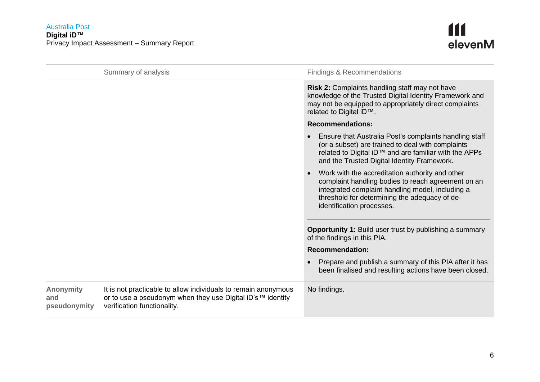#### Australia Post **Digital iD™** Privacy Impact Assessment – Summary Report

<span id="page-5-1"></span><span id="page-5-0"></span>

|                                         | Summary of analysis                                                                                                                                         | <b>Findings &amp; Recommendations</b>                                                                                                                                                                                                   |
|-----------------------------------------|-------------------------------------------------------------------------------------------------------------------------------------------------------------|-----------------------------------------------------------------------------------------------------------------------------------------------------------------------------------------------------------------------------------------|
|                                         |                                                                                                                                                             | Risk 2: Complaints handling staff may not have<br>knowledge of the Trusted Digital Identity Framework and<br>may not be equipped to appropriately direct complaints<br>related to Digital iD™.                                          |
|                                         |                                                                                                                                                             | <b>Recommendations:</b>                                                                                                                                                                                                                 |
|                                         |                                                                                                                                                             | Ensure that Australia Post's complaints handling staff<br>(or a subset) are trained to deal with complaints<br>related to Digital iD™ and are familiar with the APPs<br>and the Trusted Digital Identity Framework.                     |
|                                         |                                                                                                                                                             | Work with the accreditation authority and other<br>complaint handling bodies to reach agreement on an<br>integrated complaint handling model, including a<br>threshold for determining the adequacy of de-<br>identification processes. |
|                                         |                                                                                                                                                             | <b>Opportunity 1:</b> Build user trust by publishing a summary<br>of the findings in this PIA.                                                                                                                                          |
|                                         |                                                                                                                                                             | <b>Recommendation:</b>                                                                                                                                                                                                                  |
|                                         |                                                                                                                                                             | Prepare and publish a summary of this PIA after it has<br>been finalised and resulting actions have been closed.                                                                                                                        |
| <b>Anonymity</b><br>and<br>pseudonymity | It is not practicable to allow individuals to remain anonymous<br>or to use a pseudonym when they use Digital iD's™ identity<br>verification functionality. | No findings.                                                                                                                                                                                                                            |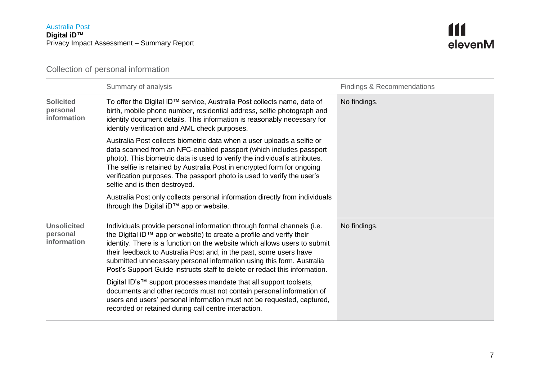

Collection of personal information

|                                               | Summary of analysis                                                                                                                                                                                                                                                                                                                                                                                                                                      | <b>Findings &amp; Recommendations</b> |
|-----------------------------------------------|----------------------------------------------------------------------------------------------------------------------------------------------------------------------------------------------------------------------------------------------------------------------------------------------------------------------------------------------------------------------------------------------------------------------------------------------------------|---------------------------------------|
| <b>Solicited</b><br>personal<br>information   | To offer the Digital iD™ service, Australia Post collects name, date of<br>birth, mobile phone number, residential address, selfie photograph and<br>identity document details. This information is reasonably necessary for<br>identity verification and AML check purposes.                                                                                                                                                                            | No findings.                          |
|                                               | Australia Post collects biometric data when a user uploads a selfie or<br>data scanned from an NFC-enabled passport (which includes passport<br>photo). This biometric data is used to verify the individual's attributes.<br>The selfie is retained by Australia Post in encrypted form for ongoing<br>verification purposes. The passport photo is used to verify the user's<br>selfie and is then destroyed.                                          |                                       |
|                                               | Australia Post only collects personal information directly from individuals<br>through the Digital iD™ app or website.                                                                                                                                                                                                                                                                                                                                   |                                       |
| <b>Unsolicited</b><br>personal<br>information | Individuals provide personal information through formal channels (i.e.<br>the Digital iD™ app or website) to create a profile and verify their<br>identity. There is a function on the website which allows users to submit<br>their feedback to Australia Post and, in the past, some users have<br>submitted unnecessary personal information using this form. Australia<br>Post's Support Guide instructs staff to delete or redact this information. | No findings.                          |
|                                               | Digital ID's™ support processes mandate that all support toolsets,<br>documents and other records must not contain personal information of<br>users and users' personal information must not be requested, captured,<br>recorded or retained during call centre interaction.                                                                                                                                                                             |                                       |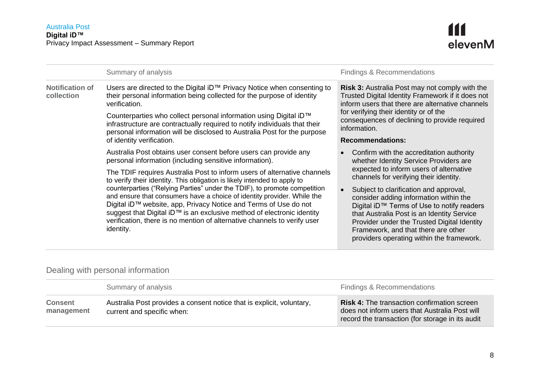<span id="page-7-0"></span>

|                                      | Summary of analysis                                                                                                                                                                                                                                                                                                                                                                         |  | Findings & Recommendations                                                                                                                                                                                                                                                                                      |
|--------------------------------------|---------------------------------------------------------------------------------------------------------------------------------------------------------------------------------------------------------------------------------------------------------------------------------------------------------------------------------------------------------------------------------------------|--|-----------------------------------------------------------------------------------------------------------------------------------------------------------------------------------------------------------------------------------------------------------------------------------------------------------------|
| <b>Notification of</b><br>collection | Users are directed to the Digital iD™ Privacy Notice when consenting to<br>their personal information being collected for the purpose of identity<br>verification.                                                                                                                                                                                                                          |  | <b>Risk 3:</b> Australia Post may not comply with the<br>Trusted Digital Identity Framework if it does not<br>inform users that there are alternative channels<br>for verifying their identity or of the<br>consequences of declining to provide required<br>information.                                       |
|                                      | Counterparties who collect personal information using Digital iD™<br>infrastructure are contractually required to notify individuals that their<br>personal information will be disclosed to Australia Post for the purpose                                                                                                                                                                 |  |                                                                                                                                                                                                                                                                                                                 |
|                                      | of identity verification.                                                                                                                                                                                                                                                                                                                                                                   |  | <b>Recommendations:</b>                                                                                                                                                                                                                                                                                         |
|                                      | Australia Post obtains user consent before users can provide any<br>personal information (including sensitive information).                                                                                                                                                                                                                                                                 |  | Confirm with the accreditation authority<br>whether Identity Service Providers are                                                                                                                                                                                                                              |
|                                      | The TDIF requires Australia Post to inform users of alternative channels<br>to verify their identity. This obligation is likely intended to apply to                                                                                                                                                                                                                                        |  | expected to inform users of alternative<br>channels for verifying their identity.                                                                                                                                                                                                                               |
|                                      | counterparties ("Relying Parties" under the TDIF), to promote competition<br>and ensure that consumers have a choice of identity provider. While the<br>Digital iD™ website, app, Privacy Notice and Terms of Use do not<br>suggest that Digital iD™ is an exclusive method of electronic identity<br>verification, there is no mention of alternative channels to verify user<br>identity. |  | Subject to clarification and approval,<br>consider adding information within the<br>Digital iD™ Terms of Use to notify readers<br>that Australia Post is an Identity Service<br>Provider under the Trusted Digital Identity<br>Framework, and that there are other<br>providers operating within the framework. |

#### Dealing with personal information

<span id="page-7-1"></span>

|                              | Summary of analysis                                                                                 | Findings & Recommendations                                                                                                                               |
|------------------------------|-----------------------------------------------------------------------------------------------------|----------------------------------------------------------------------------------------------------------------------------------------------------------|
| <b>Consent</b><br>management | Australia Post provides a consent notice that is explicit, voluntary,<br>current and specific when: | <b>Risk 4: The transaction confirmation screen</b><br>does not inform users that Australia Post will<br>record the transaction (for storage in its audit |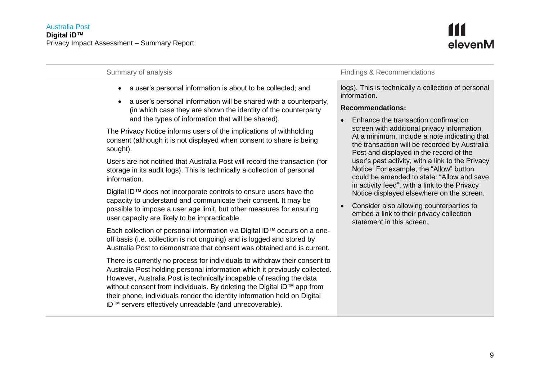

| Summary of analysis                                                                                                                                                                                                                                                                                                                                                                                                                                                                                                                                                                                                                                                                                                                                                                                                                                                                                                                                                                                                                                                                                                                                                                                                                                                                                                                                                                                                                                                                                                                                                 | <b>Findings &amp; Recommendations</b>                                                                                                                                                                                                                                                                                                                                                                                                                                                                                                                                                                                                                                                                          |
|---------------------------------------------------------------------------------------------------------------------------------------------------------------------------------------------------------------------------------------------------------------------------------------------------------------------------------------------------------------------------------------------------------------------------------------------------------------------------------------------------------------------------------------------------------------------------------------------------------------------------------------------------------------------------------------------------------------------------------------------------------------------------------------------------------------------------------------------------------------------------------------------------------------------------------------------------------------------------------------------------------------------------------------------------------------------------------------------------------------------------------------------------------------------------------------------------------------------------------------------------------------------------------------------------------------------------------------------------------------------------------------------------------------------------------------------------------------------------------------------------------------------------------------------------------------------|----------------------------------------------------------------------------------------------------------------------------------------------------------------------------------------------------------------------------------------------------------------------------------------------------------------------------------------------------------------------------------------------------------------------------------------------------------------------------------------------------------------------------------------------------------------------------------------------------------------------------------------------------------------------------------------------------------------|
| a user's personal information is about to be collected; and<br>a user's personal information will be shared with a counterparty,<br>$\bullet$<br>(in which case they are shown the identity of the counterparty<br>and the types of information that will be shared).<br>The Privacy Notice informs users of the implications of withholding<br>consent (although it is not displayed when consent to share is being<br>sought).<br>Users are not notified that Australia Post will record the transaction (for<br>storage in its audit logs). This is technically a collection of personal<br>information.<br>Digital iD™ does not incorporate controls to ensure users have the<br>capacity to understand and communicate their consent. It may be<br>possible to impose a user age limit, but other measures for ensuring<br>user capacity are likely to be impracticable.<br>Each collection of personal information via Digital iD™ occurs on a one-<br>off basis (i.e. collection is not ongoing) and is logged and stored by<br>Australia Post to demonstrate that consent was obtained and is current.<br>There is currently no process for individuals to withdraw their consent to<br>Australia Post holding personal information which it previously collected.<br>However, Australia Post is technically incapable of reading the data<br>without consent from individuals. By deleting the Digital iD™ app from<br>their phone, individuals render the identity information held on Digital<br>iD™ servers effectively unreadable (and unrecoverable). | logs). This is technically a collection of personal<br>information.<br><b>Recommendations:</b><br>Enhance the transaction confirmation<br>screen with additional privacy information.<br>At a minimum, include a note indicating that<br>the transaction will be recorded by Australia<br>Post and displayed in the record of the<br>user's past activity, with a link to the Privacy<br>Notice. For example, the "Allow" button<br>could be amended to state: "Allow and save<br>in activity feed", with a link to the Privacy<br>Notice displayed elsewhere on the screen.<br>Consider also allowing counterparties to<br>$\bullet$<br>embed a link to their privacy collection<br>statement in this screen. |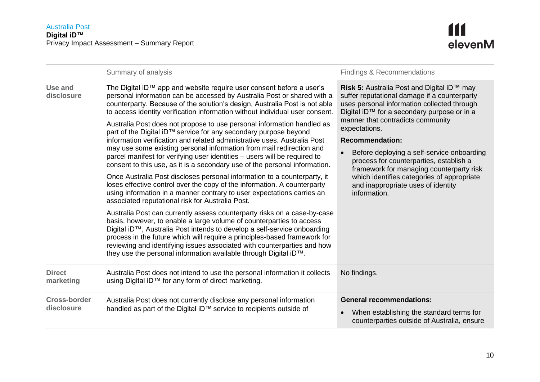<span id="page-9-1"></span><span id="page-9-0"></span>

|                                   | Summary of analysis                                                                                                                                                                                                                                                                                                                                                                                                                                                                                                                                                                                                                                                                                                                                                                                                                                    | <b>Findings &amp; Recommendations</b>                                                                                                                                                                                                                                                                                                                                                                         |
|-----------------------------------|--------------------------------------------------------------------------------------------------------------------------------------------------------------------------------------------------------------------------------------------------------------------------------------------------------------------------------------------------------------------------------------------------------------------------------------------------------------------------------------------------------------------------------------------------------------------------------------------------------------------------------------------------------------------------------------------------------------------------------------------------------------------------------------------------------------------------------------------------------|---------------------------------------------------------------------------------------------------------------------------------------------------------------------------------------------------------------------------------------------------------------------------------------------------------------------------------------------------------------------------------------------------------------|
| Use and<br>disclosure             | The Digital iD™ app and website require user consent before a user's<br>personal information can be accessed by Australia Post or shared with a<br>counterparty. Because of the solution's design, Australia Post is not able<br>to access identity verification information without individual user consent.<br>Australia Post does not propose to use personal information handled as<br>part of the Digital iD™ service for any secondary purpose beyond<br>information verification and related administrative uses. Australia Post<br>may use some existing personal information from mail redirection and<br>parcel manifest for verifying user identities – users will be required to<br>consent to this use, as it is a secondary use of the personal information.<br>Once Australia Post discloses personal information to a counterparty, it | Risk 5: Australia Post and Digital iD™ may<br>suffer reputational damage if a counterparty<br>uses personal information collected through<br>Digital iD™ for a secondary purpose or in a<br>manner that contradicts community<br>expectations.<br><b>Recommendation:</b><br>Before deploying a self-service onboarding<br>process for counterparties, establish a<br>framework for managing counterparty risk |
|                                   | loses effective control over the copy of the information. A counterparty<br>using information in a manner contrary to user expectations carries an<br>associated reputational risk for Australia Post.                                                                                                                                                                                                                                                                                                                                                                                                                                                                                                                                                                                                                                                 | which identifies categories of appropriate<br>and inappropriate uses of identity<br>information.                                                                                                                                                                                                                                                                                                              |
|                                   | Australia Post can currently assess counterparty risks on a case-by-case<br>basis, however, to enable a large volume of counterparties to access<br>Digital iD™, Australia Post intends to develop a self-service onboarding<br>process in the future which will require a principles-based framework for<br>reviewing and identifying issues associated with counterparties and how<br>they use the personal information available through Digital iD™.                                                                                                                                                                                                                                                                                                                                                                                               |                                                                                                                                                                                                                                                                                                                                                                                                               |
| <b>Direct</b><br>marketing        | Australia Post does not intend to use the personal information it collects<br>using Digital iD™ for any form of direct marketing.                                                                                                                                                                                                                                                                                                                                                                                                                                                                                                                                                                                                                                                                                                                      | No findings.                                                                                                                                                                                                                                                                                                                                                                                                  |
| <b>Cross-border</b><br>disclosure | Australia Post does not currently disclose any personal information<br>handled as part of the Digital iD™ service to recipients outside of                                                                                                                                                                                                                                                                                                                                                                                                                                                                                                                                                                                                                                                                                                             | <b>General recommendations:</b><br>When establishing the standard terms for<br>counterparties outside of Australia, ensure                                                                                                                                                                                                                                                                                    |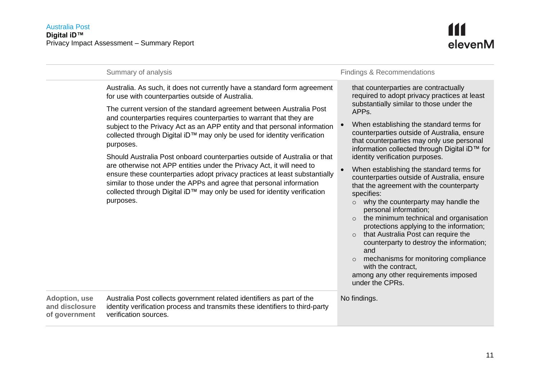

|                                                  | Summary of analysis                                                                                                                                                                                                                                                                                                                                                                                                                                                                                                                                                                                                                                                                                                                                                                                                                                    | <b>Findings &amp; Recommendations</b>                                                                                                                                                                                                                                                                                                                                                                                                                                                                                                                                                                                                                                                                                                                                                                                                                                                                                                              |
|--------------------------------------------------|--------------------------------------------------------------------------------------------------------------------------------------------------------------------------------------------------------------------------------------------------------------------------------------------------------------------------------------------------------------------------------------------------------------------------------------------------------------------------------------------------------------------------------------------------------------------------------------------------------------------------------------------------------------------------------------------------------------------------------------------------------------------------------------------------------------------------------------------------------|----------------------------------------------------------------------------------------------------------------------------------------------------------------------------------------------------------------------------------------------------------------------------------------------------------------------------------------------------------------------------------------------------------------------------------------------------------------------------------------------------------------------------------------------------------------------------------------------------------------------------------------------------------------------------------------------------------------------------------------------------------------------------------------------------------------------------------------------------------------------------------------------------------------------------------------------------|
|                                                  | Australia. As such, it does not currently have a standard form agreement<br>for use with counterparties outside of Australia.<br>The current version of the standard agreement between Australia Post<br>and counterparties requires counterparties to warrant that they are<br>subject to the Privacy Act as an APP entity and that personal information<br>collected through Digital iD™ may only be used for identity verification<br>purposes.<br>Should Australia Post onboard counterparties outside of Australia or that<br>are otherwise not APP entities under the Privacy Act, it will need to<br>ensure these counterparties adopt privacy practices at least substantially<br>similar to those under the APPs and agree that personal information<br>collected through Digital iD™ may only be used for identity verification<br>purposes. | that counterparties are contractually<br>required to adopt privacy practices at least<br>substantially similar to those under the<br>APPs.<br>When establishing the standard terms for<br>counterparties outside of Australia, ensure<br>that counterparties may only use personal<br>information collected through Digital iD™ for<br>identity verification purposes.<br>When establishing the standard terms for<br>counterparties outside of Australia, ensure<br>that the agreement with the counterparty<br>specifies:<br>why the counterparty may handle the<br>$\circ$<br>personal information;<br>the minimum technical and organisation<br>$\Omega$<br>protections applying to the information;<br>that Australia Post can require the<br>$\Omega$<br>counterparty to destroy the information;<br>and<br>mechanisms for monitoring compliance<br>$\circ$<br>with the contract,<br>among any other requirements imposed<br>under the CPRs. |
| Adoption, use<br>and disclosure<br>of government | Australia Post collects government related identifiers as part of the<br>identity verification process and transmits these identifiers to third-party<br>verification sources.                                                                                                                                                                                                                                                                                                                                                                                                                                                                                                                                                                                                                                                                         | No findings.                                                                                                                                                                                                                                                                                                                                                                                                                                                                                                                                                                                                                                                                                                                                                                                                                                                                                                                                       |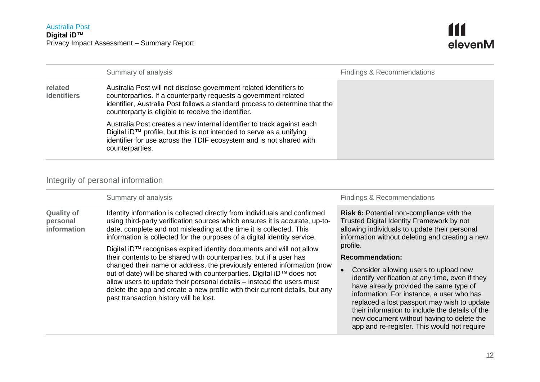

|                        | Summary of analysis                                                                                                                                                                                                                                                         | <b>Findings &amp; Recommendations</b> |
|------------------------|-----------------------------------------------------------------------------------------------------------------------------------------------------------------------------------------------------------------------------------------------------------------------------|---------------------------------------|
| related<br>identifiers | Australia Post will not disclose government related identifiers to<br>counterparties. If a counterparty requests a government related<br>identifier, Australia Post follows a standard process to determine that the<br>counterparty is eligible to receive the identifier. |                                       |
|                        | Australia Post creates a new internal identifier to track against each<br>Digital iD™ profile, but this is not intended to serve as a unifying<br>identifier for use across the TDIF ecosystem and is not shared with<br>counterparties.                                    |                                       |

#### Integrity of personal information

<span id="page-11-0"></span>

|                                              | Summary of analysis                                                                                                                                                                                                                                                                                                                                                                                                                                                                                                                                                                                                                                                                                                                                                                                            | Findings & Recommendations                                                                                                                                                                                                                                                                                                                                                                                                                                                                                                                                                                                               |
|----------------------------------------------|----------------------------------------------------------------------------------------------------------------------------------------------------------------------------------------------------------------------------------------------------------------------------------------------------------------------------------------------------------------------------------------------------------------------------------------------------------------------------------------------------------------------------------------------------------------------------------------------------------------------------------------------------------------------------------------------------------------------------------------------------------------------------------------------------------------|--------------------------------------------------------------------------------------------------------------------------------------------------------------------------------------------------------------------------------------------------------------------------------------------------------------------------------------------------------------------------------------------------------------------------------------------------------------------------------------------------------------------------------------------------------------------------------------------------------------------------|
| <b>Quality of</b><br>personal<br>information | Identity information is collected directly from individuals and confirmed<br>using third-party verification sources which ensures it is accurate, up-to-<br>date, complete and not misleading at the time it is collected. This<br>information is collected for the purposes of a digital identity service.<br>Digital iD™ recognises expired identity documents and will not allow<br>their contents to be shared with counterparties, but if a user has<br>changed their name or address, the previously entered information (now<br>out of date) will be shared with counterparties. Digital iD™ does not<br>allow users to update their personal details - instead the users must<br>delete the app and create a new profile with their current details, but any<br>past transaction history will be lost. | <b>Risk 6:</b> Potential non-compliance with the<br>Trusted Digital Identity Framework by not<br>allowing individuals to update their personal<br>information without deleting and creating a new<br>profile.<br><b>Recommendation:</b><br>Consider allowing users to upload new<br>identify verification at any time, even if they<br>have already provided the same type of<br>information. For instance, a user who has<br>replaced a lost passport may wish to update<br>their information to include the details of the<br>new document without having to delete the<br>app and re-register. This would not require |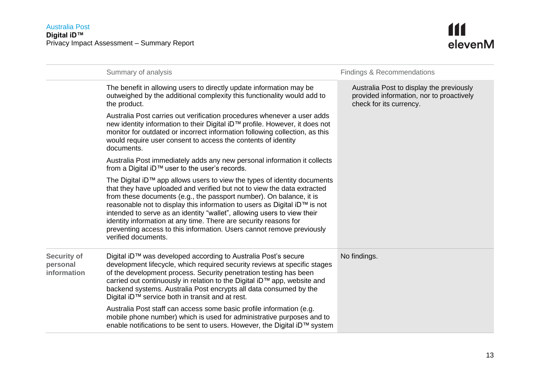

|                                               | Summary of analysis                                                                                                                                                                                                                                                                                                                                                                                                                                                                                                                                    | <b>Findings &amp; Recommendations</b>                                                                           |
|-----------------------------------------------|--------------------------------------------------------------------------------------------------------------------------------------------------------------------------------------------------------------------------------------------------------------------------------------------------------------------------------------------------------------------------------------------------------------------------------------------------------------------------------------------------------------------------------------------------------|-----------------------------------------------------------------------------------------------------------------|
|                                               | The benefit in allowing users to directly update information may be<br>outweighed by the additional complexity this functionality would add to<br>the product.                                                                                                                                                                                                                                                                                                                                                                                         | Australia Post to display the previously<br>provided information, nor to proactively<br>check for its currency. |
|                                               | Australia Post carries out verification procedures whenever a user adds<br>new identity information to their Digital iD™ profile. However, it does not<br>monitor for outdated or incorrect information following collection, as this<br>would require user consent to access the contents of identity<br>documents.                                                                                                                                                                                                                                   |                                                                                                                 |
|                                               | Australia Post immediately adds any new personal information it collects<br>from a Digital iD™ user to the user's records.                                                                                                                                                                                                                                                                                                                                                                                                                             |                                                                                                                 |
|                                               | The Digital iD™ app allows users to view the types of identity documents<br>that they have uploaded and verified but not to view the data extracted<br>from these documents (e.g., the passport number). On balance, it is<br>reasonable not to display this information to users as Digital iD™ is not<br>intended to serve as an identity "wallet", allowing users to view their<br>identity information at any time. There are security reasons for<br>preventing access to this information. Users cannot remove previously<br>verified documents. |                                                                                                                 |
| <b>Security of</b><br>personal<br>information | Digital iD™ was developed according to Australia Post's secure<br>development lifecycle, which required security reviews at specific stages<br>of the development process. Security penetration testing has been<br>carried out continuously in relation to the Digital iD™ app, website and<br>backend systems. Australia Post encrypts all data consumed by the<br>Digital iD™ service both in transit and at rest.                                                                                                                                  | No findings.                                                                                                    |
|                                               | Australia Post staff can access some basic profile information (e.g.<br>mobile phone number) which is used for administrative purposes and to<br>enable notifications to be sent to users. However, the Digital iD™ system                                                                                                                                                                                                                                                                                                                             |                                                                                                                 |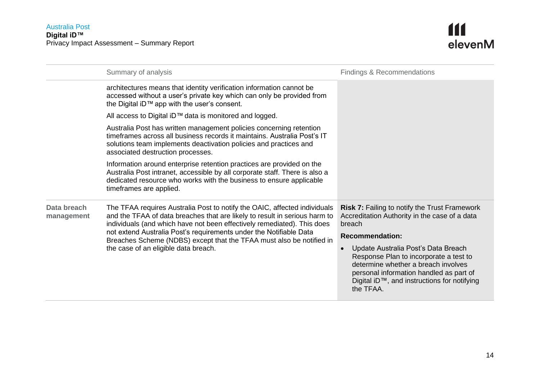<span id="page-13-0"></span>

|                           | Summary of analysis                                                                                                                                                                                                                                                                                                                                                                                                      | <b>Findings &amp; Recommendations</b>                                                                                                                                                                                       |
|---------------------------|--------------------------------------------------------------------------------------------------------------------------------------------------------------------------------------------------------------------------------------------------------------------------------------------------------------------------------------------------------------------------------------------------------------------------|-----------------------------------------------------------------------------------------------------------------------------------------------------------------------------------------------------------------------------|
|                           | architectures means that identity verification information cannot be<br>accessed without a user's private key which can only be provided from<br>the Digital iD™ app with the user's consent.                                                                                                                                                                                                                            |                                                                                                                                                                                                                             |
|                           | All access to Digital iD™ data is monitored and logged.                                                                                                                                                                                                                                                                                                                                                                  |                                                                                                                                                                                                                             |
|                           | Australia Post has written management policies concerning retention<br>timeframes across all business records it maintains. Australia Post's IT<br>solutions team implements deactivation policies and practices and<br>associated destruction processes.                                                                                                                                                                |                                                                                                                                                                                                                             |
|                           | Information around enterprise retention practices are provided on the<br>Australia Post intranet, accessible by all corporate staff. There is also a<br>dedicated resource who works with the business to ensure applicable<br>timeframes are applied.                                                                                                                                                                   |                                                                                                                                                                                                                             |
| Data breach<br>management | The TFAA requires Australia Post to notify the OAIC, affected individuals<br>and the TFAA of data breaches that are likely to result in serious harm to<br>individuals (and which have not been effectively remediated). This does<br>not extend Australia Post's requirements under the Notifiable Data<br>Breaches Scheme (NDBS) except that the TFAA must also be notified in<br>the case of an eligible data breach. | <b>Risk 7: Failing to notify the Trust Framework</b><br>Accreditation Authority in the case of a data<br>breach                                                                                                             |
|                           |                                                                                                                                                                                                                                                                                                                                                                                                                          | <b>Recommendation:</b>                                                                                                                                                                                                      |
|                           |                                                                                                                                                                                                                                                                                                                                                                                                                          | Update Australia Post's Data Breach<br>Response Plan to incorporate a test to<br>determine whether a breach involves<br>personal information handled as part of<br>Digital iD™, and instructions for notifying<br>the TFAA. |